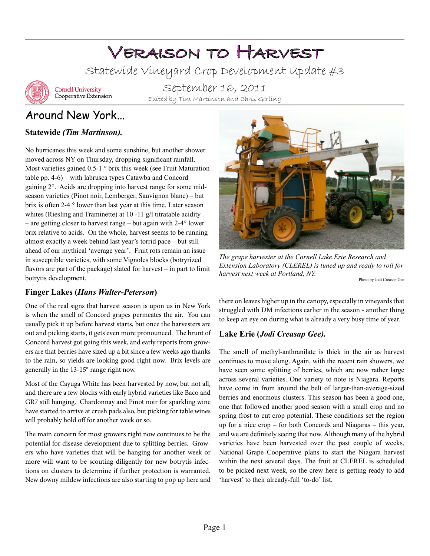# Veraison to Harvest

Statewide Vineyard Crop Development Update #3



**Cornell University** Cooperative Extension

September 16, 2011 Edited by Tim Martinson and Chris Gerling

# Around New York...

## **Statewide** *(Tim Martinson).*

No hurricanes this week and some sunshine, but another shower moved across NY on Thursday, dropping significant rainfall. Most varieties gained 0.5-1 ° brix this week (see Fruit Maturation table pp. 4-6) – with labrusca types Catawba and Concord gaining 2°. Acids are dropping into harvest range for some midseason varieties (Pinot noir, Lemberger, Sauvignon blanc) – but brix is often 2-4 ° lower than last year at this time. Later season whites (Riesling and Traminette) at 10 -11 g/l titratable acidity – are getting closer to harvest range – but again with 2-4° lower brix relative to acids. On the whole, harvest seems to be running almost exactly a week behind last year's torrid pace – but still ahead of our mythical 'average year'. Fruit rots remain an issue in susceptible varieties, with some Vignoles blocks (botryrized flavors are part of the package) slated for harvest – in part to limit botrytis development.

### **Finger Lakes (***Hans Walter-Peterson***)**

One of the real signs that harvest season is upon us in New York is when the smell of Concord grapes permeates the air. You can usually pick it up before harvest starts, but once the harvesters are out and picking starts, it gets even more pronounced. The brunt of Concord harvest got going this week, and early reports from growers are that berries have sized up a bit since a few weeks ago thanks to the rain, so yields are looking good right now. Brix levels are generally in the 13-15° range right now.

Most of the Cayuga White has been harvested by now, but not all, and there are a few blocks with early hybrid varieties like Baco and GR7 still hanging. Chardonnay and Pinot noir for sparkling wine have started to arrive at crush pads also, but picking for table wines will probably hold off for another week or so.

The main concern for most growers right now continues to be the potential for disease development due to splitting berries. Growers who have varieties that will be hanging for another week or more will want to be scouting diligently for new botrytis infections on clusters to determine if further protection is warranted. New downy mildew infections are also starting to pop up here and



*The grape harvester at the Cornell Lake Erie Research and Extension Laboratory (CLEREL) is tuned up and ready to roll for harvest next week at Portland, NY.*

Photo by Jodi Creasap Gee

there on leaves higher up in the canopy, especially in vineyards that struggled with DM infections earlier in the season - another thing to keep an eye on during what is already a very busy time of year.

## **Lake Erie (***Jodi Creasap Gee).*

The smell of methyl-anthranilate is thick in the air as harvest continues to move along. Again, with the recent rain showers, we have seen some splitting of berries, which are now rather large across several varieties. One variety to note is Niagara. Reports have come in from around the belt of larger-than-average-sized berries and enormous clusters. This season has been a good one, one that followed another good season with a small crop and no spring frost to cut crop potential. These conditions set the region up for a nice crop – for both Concords and Niagaras – this year, and we are definitely seeing that now. Although many of the hybrid varieties have been harvested over the past couple of weeks, National Grape Cooperative plans to start the Niagara harvest within the next several days. The fruit at CLEREL is scheduled to be picked next week, so the crew here is getting ready to add 'harvest' to their already-full 'to-do' list.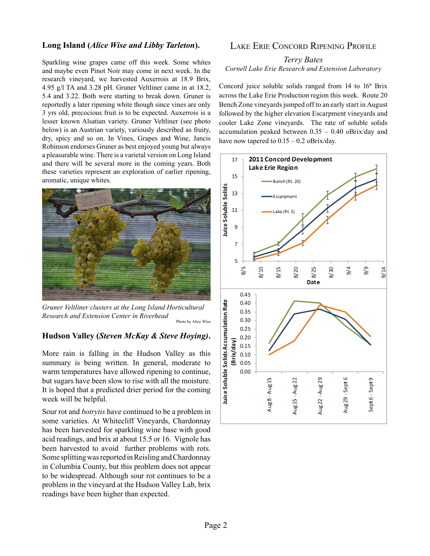#### **Long Island (***Alice Wise and Libby Tarleton***).**

Sparkling wine grapes came off this week. Some whites and maybe even Pinot Noir may come in next week. In the research vineyard, we harvested Auxerrois at 18.9 Brix, 4.95 g/l TA and 3.28 pH. Gruner Veltliner came in at 18.2, 5.4 and 3.22. Both were starting to break down. Gruner is reportedly a later ripening white though since vines are only 3 yrs old, precocious fruit is to be expected. Auxerrois is a lesser known Alsatian variety. Gruner Veltliner (see photo below) is an Austrian variety, variously described as fruity, dry, spicy and so on. In Vines, Grapes and Wine, Jancis Robinson endorses Gruner as best enjoyed young but always a pleasurable wine. There is a varietal version on Long Island and there will be several more in the coming years. Both these varieties represent an exploration of earlier ripening, aromatic, unique whites.



*Gruner Veltliner clusters at the Long Island Horticultural Research and Extension Center in Riverhead* Photo by Alice Wise

#### **Hudson Valley (***Steven McKay & Steve Hoying)***.**

More rain is falling in the Hudson Valley as this summary is being written. In general, moderate to warm temperatures have allowed ripening to continue, but sugars have been slow to rise with all the moisture. It is hoped that a predicted drier period for the coming week will be helpful.

Sour rot and *botrytis* have continued to be a problem in some varieties. At Whitecliff Vineyards, Chardonnay has been harvested for sparkling wine base with good acid readings, and brix at about 15.5 or 16. Vignole has been harvested to avoid further problems with rots. Some splitting was reported in Reisling and Chardonnay in Columbia County, but this problem does not appear to be widespread. Although sour rot continues to be a problem in the vineyard at the Hudson Valley Lab, brix readings have been higher than expected.

#### Lake Erie Concord Ripening Profile

#### *Terry Bates Cornell Lake Erie Research and Extension Laboratory*

Concord juice soluble solids ranged from 14 to 16° Brix across the Lake Erie Production region this week. Route 20 Bench Zone vineyards jumped off to an early start in August followed by the higher elevation Escarpment vineyards and cooler Lake Zone vineyards. The rate of soluble solids accumulation peaked between 0.35 – 0.40 oBrix/day and have now tapered to  $0.15 - 0.2$  oBrix/day.

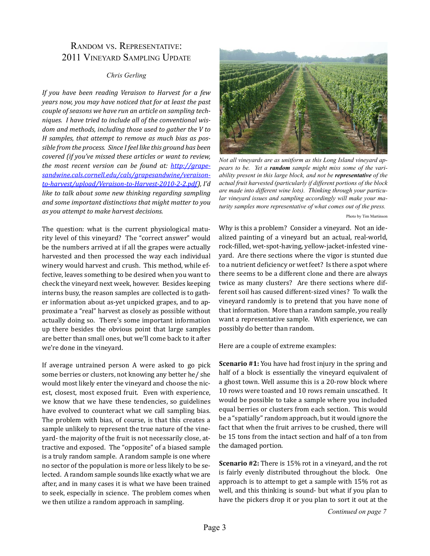## Random vs. Representative: 2011 Vineyard Sampling Update

#### *Chris Gerling*

*If you have been reading Veraison to Harvest for a few years now, you may have noticed that for at least the past couple of seasons we have run an article on sampling techniques. I have tried to include all of the conventional wisdom and methods, including those used to gather the V to H samples, that attempt to remove as much bias as possible from the process. Since I feel like this ground has been covered (if you've missed these articles or want to review, the most recent version can be found at: [http://grape](http://grapesandwine.cals.cornell.edu/cals/grapesandwine/veraison-to-harvest/upload/Veraison-to-Harvest-2010-2-2.pdf)[sandwine.cals.cornell.edu/cals/grapesandwine/veraison](http://grapesandwine.cals.cornell.edu/cals/grapesandwine/veraison-to-harvest/upload/Veraison-to-Harvest-2010-2-2.pdf)[to-harvest/upload/Veraison-to-Harvest-2010-2-2.pdf](http://grapesandwine.cals.cornell.edu/cals/grapesandwine/veraison-to-harvest/upload/Veraison-to-Harvest-2010-2-2.pdf)), I'd like to talk about some new thinking regarding sampling and some important distinctions that might matter to you as you attempt to make harvest decisions.*

The question: what is the current physiological maturity level of this vineyard? The "correct answer" would be the numbers arrived at if all the grapes were actually harvested and then processed the way each individual winery would harvest and crush. This method, while effective, leaves something to be desired when you want to check the vineyard next week, however. Besides keeping interns busy, the reason samples are collected is to gather information about as-yet unpicked grapes, and to approximate a "real" harvest as closely as possible without actually doing so. There's some important information up there besides the obvious point that large samples are better than small ones, but we'll come back to it after we're done in the vineyard.

If average untrained person A were asked to go pick some berries or clusters, not knowing any better he/ she would most likely enter the vineyard and choose the nicest, closest, most exposed fruit. Even with experience, we know that we have these tendencies, so guidelines have evolved to counteract what we call sampling bias. The problem with bias, of course, is that this creates a sample unlikely to represent the true nature of the vineyard- the majority of the fruit is not necessarily close, attractive and exposed. The "opposite" of a biased sample is a truly random sample. A random sample is one where no sector of the population is more or less likely to be selected. A random sample sounds like exactly what we are after, and in many cases it is what we have been trained to seek, especially in science. The problem comes when we then utilize a random approach in sampling.



*Not all vineyards are as unitform as this Long Island vineyard appears to be. Yet a random sample might miss some of the variability present in this large block, and not be representative of the actual fruit harvested (particularly if different portions of the block are made into different wine lots). Thinking through your particular vineyard issues and sampling accordingly will make your maturity samples more representative of what comes out of the press.*

Photo by Tim Martinson

Why is this a problem? Consider a vineyard. Not an idealized painting of a vineyard but an actual, real-world, rock-filled, wet-spot-having, yellow-jacket-infested vineyard. Are there sections where the vigor is stunted due to a nutrient deficiency or wet feet? Is there a spot where there seems to be a different clone and there are always twice as many clusters? Are there sections where different soil has caused different-sized vines? To walk the vineyard randomly is to pretend that you have none of that information. More than a random sample, you really want a representative sample. With experience, we can possibly do better than random.

Here are a couple of extreme examples:

**Scenario #1:** You have had frost injury in the spring and half of a block is essentially the vineyard equivalent of a ghost town. Well assume this is a 20-row block where 10 rows were toasted and 10 rows remain unscathed. It would be possible to take a sample where you included equal berries or clusters from each section. This would be a "spatially" random approach, but it would ignore the fact that when the fruit arrives to be crushed, there will be 15 tons from the intact section and half of a ton from the damaged portion.

**Scenario #2:** There is 15% rot in a vineyard, and the rot is fairly evenly distributed throughout the block. One approach is to attempt to get a sample with 15% rot as well, and this thinking is sound- but what if you plan to have the pickers drop it or you plan to sort it out at the

*Continued on page 7*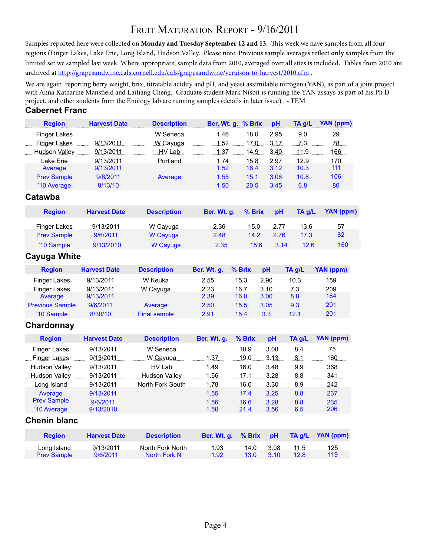# FRUIT MATURATION REPORT - 9/16/2011

Samples reported here were collected on **Monday and Tuesday September 12 and 13.** This week we have samples from all four regions (Finger Lakes, Lake Erie, Long Island, Hudson Valley. Please note: Previous sample averages reflect **only** samples from the limited set we sampled last week. Where appropriate, sample data from 2010, averaged over all sites is included. Tables from 2010 are archived at http://grapesandwine.cals.cornell.edu/cals/grapesandwine/veraison-to-harvest/2010.cfm.

We are again reporting berry weight, brix, titratable acidity and pH, and yeast assimilable nitrogen (YAN), as part of a joint project with Anna Katharine Mansfield and Lailiang Cheng. Graduate student Mark Nisbit is running the YAN assays as part of his Ph D project, and other students from the Enology lab are running samples (details in later issue) . - TEM

#### **Cabernet Franc**

| <b>Region</b>       | <b>Harvest Date</b> | <b>Description</b> | Ber. Wt. g. % Brix |      | pH   | $TA$ g/L | YAN (ppm) |
|---------------------|---------------------|--------------------|--------------------|------|------|----------|-----------|
| <b>Finger Lakes</b> |                     | W Seneca           | 1.46               | 18.0 | 2.95 | 9.0      | 29        |
| Finger Lakes        | 9/13/2011           | W Cayuga           | 1.52               | 17.0 | 3.17 | 7.3      | 78        |
| Hudson Valley       | 9/13/2011           | HV Lab             | 1.37               | 14.9 | 3.40 | 11.9     | 166       |
| Lake Erie           | 9/13/2011           | Portland           | 1.74               | 15.8 | 2.97 | 12.9     | 170       |
| Average             | 9/13/2011           |                    | 1.52               | 16.4 | 3.12 | 10.3     | 111       |
| <b>Prev Sample</b>  | 9/6/2011            | Average            | 1.55               | 15.1 | 3.08 | 10.8     | 106       |
| '10 Average         | 9/13/10             |                    | 1.50               | 20.5 | 3.45 | 6.8      | 80        |
| Catawba             |                     |                    |                    |      |      |          |           |

| <b>Region</b>      | <b>Harvest Date</b> | <b>Description</b> | Ber. Wt. a. | $%$ Brix | <b>pH</b> | TA a/L | YAN (ppm) |
|--------------------|---------------------|--------------------|-------------|----------|-----------|--------|-----------|
| Finger Lakes       | 9/13/2011           | W Cayuga           | 2.36        | 15.0     | 2.77      | 13.6   | 57        |
| <b>Prev Sample</b> | 9/6/2011            | W Cayuga           | 2.48        | 14.2     | 2.76      | 17.3   | 82        |
| '10 Sample         | 9/13/2010           | W Cayuga           | 2.35        | 15.6     | 3.14      | 12.6   | 160       |
|                    |                     |                    |             |          |           |        |           |

#### **Cayuga White**

| <b>Region</b>          | <b>Harvest Date</b> | <b>Description</b> | Ber. Wt. q. | $%$ Brix | <b>pH</b> | TA a/L | YAN (ppm) |
|------------------------|---------------------|--------------------|-------------|----------|-----------|--------|-----------|
| <b>Finger Lakes</b>    | 9/13/2011           | W Keuka            | 2.55        | 15.3     | 2.90      | 10.3   | 159       |
| <b>Finger Lakes</b>    | 9/13/2011           | W Cayuga           | 2.23        | 16.7     | 3.10      | 7.3    | 209       |
| Average                | 9/13/2011           |                    | 2.39        | 16.0     | 3.00      | 8.8    | 184       |
| <b>Previous Sample</b> | 9/6/2011            | Average            | 2.50        | 15.5     | 3.05      | 9.3    | 201       |
| '10 Sample             | 8/30/10             | Final sample       | 2.91        | 15.4     | 3.3       | 12.1   | 201       |

#### **Chardonnay**

| <b>Region</b>        | <b>Harvest Date</b> | <b>Description</b> | Ber. Wt. q.   | $%$ Brix | pH   | TA g/L | YAN (ppm) |
|----------------------|---------------------|--------------------|---------------|----------|------|--------|-----------|
| <b>Finger Lakes</b>  | 9/13/2011           | W Seneca           |               | 18.9     | 3.08 | 8.4    | 75        |
| Finger Lakes         | 9/13/2011           | W Cayuga           | $\dots$ 1.37. | 19.0     | 3.13 | 8.1    | 160       |
| <b>Hudson Valley</b> | 9/13/2011           | HV Lab             | 1.49          | 16.0     | 3.48 | 9.9    | 368       |
| Hudson Valley        | 9/13/2011           | Hudson Valley      | 1.56          | 17.1     | 3.28 | 8.8    | 341       |
| Long Island          | 9/13/2011           | North Fork South   | 1.78          | 16.0     | 3.30 | 8.9    | 242       |
| Average              | 9/13/2011           |                    | 1.55          | 17.4     | 3.25 | 8.8    | 237       |
| <b>Prev Sample</b>   | 9/6/2011            |                    | 1.56          | 16.6     | 3.28 | 8.8    | 235       |
| '10 Average          | 9/13/2010           |                    | 1.50          | 21.4     | 3.56 | 6.5    | 206       |

#### **Chenin blanc**

| <b>Region</b>      | <b>Harvest Date</b> | <b>Description</b> | Ber. Wt. q. % Brix pH |              |       |      | $TA q/L$ YAN (ppm) |
|--------------------|---------------------|--------------------|-----------------------|--------------|-------|------|--------------------|
| Long Island        | 9/13/2011           | North Fork North   | 1.93                  | 14 N         | -3.08 | 11.5 | 125                |
| <b>Prev Sample</b> | 9/6/2011            | North Fork N       | 1.92                  | $13.0^\circ$ | -3.10 | 12 R | 119                |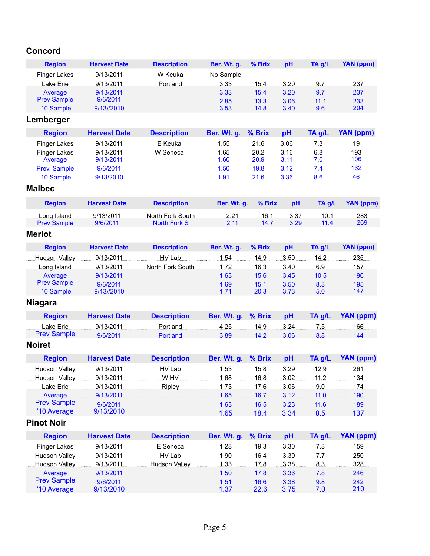## **Concord**

| <b>Region</b>      | <b>Harvest Date</b> | <b>Description</b> | Ber. Wt. q. | $%$ Brix | <b>pH</b> | TA a/L | YAN (ppm) |
|--------------------|---------------------|--------------------|-------------|----------|-----------|--------|-----------|
| Finger Lakes       | 9/13/2011           | W Keuka            | No Sample   |          |           |        |           |
| Lake Erie          | 9/13/2011           | Portland           | 3.33        | 15.4     | 3.20      | 9.7    | 237       |
| Average            | 9/13/2011           |                    | 3.33        | 15.4     | 3.20      | 9.7    | 237       |
| <b>Prev Sample</b> | 9/6/2011            |                    | 2.85        | 13.3     | 3.06      | 11.1   | 233       |
| '10 Sample         | 9/13//2010          |                    | 3.53        | 14.8     | 3.40      | 9.6    | 204       |

# **Lemberger**

| <b>Region</b>                  | <b>Harvest Date</b>    | <b>Description</b> | Ber. Wt. g. % Brix |              | pH           | $TA$ g/L   | YAN (ppm)  |
|--------------------------------|------------------------|--------------------|--------------------|--------------|--------------|------------|------------|
| Finger Lakes                   | 9/13/2011              | E Keuka            | 1.55               | 21.6         | 3.06         | 7.3        | 19         |
| <b>Finger Lakes</b><br>Average | 9/13/2011<br>9/13/2011 | W Seneca           | 1.65<br>1.60       | 20.2<br>20.9 | 3.16<br>3.11 | 6.8<br>7.0 | 193<br>106 |
| Prev. Sample                   | 9/6/2011               |                    | 1.50               | 19.8         | 3.12         | 7.4        | 162        |
| '10 Sample                     | 9/13/2010              |                    | 1.91               | 21.6         | 3.36         | 8.6        | 46         |

# **Malbec**

| <b>Region</b>      | <b>Harvest Date</b> | <b>Description</b> | Ber. Wt. q. % Brix |      | <b>pH</b> | TA a/L | YAN (ppm) |
|--------------------|---------------------|--------------------|--------------------|------|-----------|--------|-----------|
| Long Island        | 9/13/2011           | North Fork South   | 2.21               | 16.1 | 3.37      | 10.1   | 283       |
| <b>Prev Sample</b> | 9/6/2011            | North Fork S       | 2.11               | 14.7 | 3.29      | 11.4   | 269       |

# **Merlot**

| <b>Region</b>      | <b>Harvest Date</b> | <b>Description</b> | Ber. Wt. q. | % Brix | pH   | TA a/L | YAN (ppm) |
|--------------------|---------------------|--------------------|-------------|--------|------|--------|-----------|
| Hudson Valley      | 9/13/2011           | HV Lab             | -54         | 14.9   | 3.50 | 14.2   | 235       |
| Long Island        | 9/13/2011           | North Fork South   | 1.72        | 16.3   | 3.40 | 6.9    | 157       |
| Average            | 9/13/2011           |                    | 1.63        | 15.6   | 3.45 | 10.5   | 196       |
| <b>Prev Sample</b> | 9/6/2011            |                    | 1.69        | 15.1   | 3.50 | 8.3    | 195       |
| '10 Sample         | 9/13//2010          |                    | 1.71        | 20.3   | 3.73 | 5.0    | 147       |

# **Niagara**

| <b>Region</b>      | <b>Exercise Harvest Date</b> | <b>Description</b> |       |      |         |     | Ber. Wt. g. % Brix pH TA g/L YAN (ppm) |
|--------------------|------------------------------|--------------------|-------|------|---------|-----|----------------------------------------|
| Lake Erie          | 9/13/2011                    | Portland           | 425 — |      | 149 324 | 7.5 | 166.                                   |
| <b>Prev Sample</b> | 9/6/2011                     | Portland           | 3.89  | 14.2 | 3.06    | 8 R | 144                                    |

# **Noiret**

| <b>Region</b>           | <b>Harvest Date</b> | <b>Description</b>                                                                                  | Ber. Wt. g. % Brix pH |      |      | TA g/L         | YAN (ppm) |
|-------------------------|---------------------|-----------------------------------------------------------------------------------------------------|-----------------------|------|------|----------------|-----------|
| Hudson Valley           | 9/13/2011           | HV Lab                                                                                              | 1.53                  | 15.8 | 3.29 | 12.9           | 261       |
| Hudson Valley 9/13/2011 |                     |                                                                                                     |                       |      |      | 16.8 3.02 11.2 | 134       |
| Lake Erie               |                     | __________9/13/2011_______________Ripley______________1.73_________17.6_______3.06________9.0______ |                       |      |      |                | 174       |
| Average 9/13/2011       |                     |                                                                                                     |                       |      |      |                | 190       |
| <b>Prev Sample</b>      | 9/6/2011            |                                                                                                     | 1.63                  | 16.5 | 3.23 | 11.6           | 189       |
| '10 Average             | 9/13/2010           |                                                                                                     | 1.65                  | 18.4 | 3.34 | 8.5            | 137       |

## **Pinot Noir**

| <b>Region</b>                     | <b>Harvest Date</b>   | <b>Description</b> | Ber. Wt. g. % Brix |              | pH           | TA q/L     | YAN (ppm)  |
|-----------------------------------|-----------------------|--------------------|--------------------|--------------|--------------|------------|------------|
| Finger Lakes                      | 9/13/2011             | E Seneca           | 1.28               | 19.3         | 3.30         | 7.3        | 159        |
| Hudson Valley                     | 9/13/2011             | HV Lab             | 1.90               | 16.4         | 3.39         | 7.7        | 250        |
| <b>Hudson Valley</b>              | 9/13/2011             | Hudson Valley 1.33 |                    | 17.8.        | 3.38         | 8.3        | 328        |
| Average                           | 9/13/2011             |                    | 1.50               | 17.8         | 3.36         | 7.8        | 246        |
| <b>Prev Sample</b><br>'10 Average | 9/6/2011<br>9/13/2010 |                    | 1.51<br>1.37       | 16.6<br>22.6 | 3.38<br>3.75 | 9.8<br>7.0 | 242<br>210 |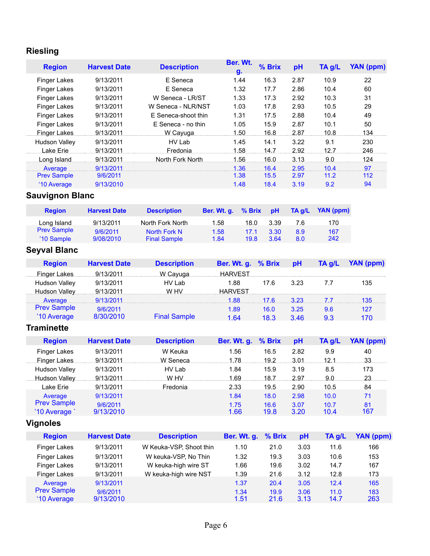# **Riesling**

| <b>Region</b>        | <b>Harvest Date</b> | <b>Description</b>  | Ber. Wt.<br>g. | % Brix | pH   | TA g/L | YAN (ppm) |
|----------------------|---------------------|---------------------|----------------|--------|------|--------|-----------|
| <b>Finger Lakes</b>  | 9/13/2011           | E Seneca            | 1.44           | 16.3   | 2.87 | 10.9   | 22        |
| <b>Finger Lakes</b>  | 9/13/2011           | E Seneca            | 1.32           | 17.7   | 2.86 | 10.4   | 60        |
| <b>Finger Lakes</b>  | 9/13/2011           | W Seneca - LR/ST    | 1.33           | 17.3   | 2.92 | 10.3   | 31        |
| <b>Finger Lakes</b>  | 9/13/2011           | W Seneca - NLR/NST  | 1.03           | 17.8   | 2.93 | 10.5   | 29        |
| <b>Finger Lakes</b>  | 9/13/2011           | E Seneca-shoot thin | 1.31           | 17.5   | 2.88 | 10.4   | 49        |
| <b>Finger Lakes</b>  | 9/13/2011           | E Seneca - no thin  | 1.05           | 15.9   | 2.87 | 10.1   | 50        |
| Finger Lakes         | 9/13/2011           | W Cayuga            | 1.50           | 16.8   | 2.87 | 10.8   | 134       |
| <b>Hudson Valley</b> | 9/13/2011           | HV Lab              | 1.45           | 14.1   | 3.22 | 9.1    | 230       |
| Lake Erie            | 9/13/2011           | Fredonia            | 1.58           | 14.7   | 2.92 | 12.7   | 246       |
| Long Island          | 9/13/2011           | North Fork North    | 1.56           | 16.0   | 3.13 | 9.0    | 124       |
| Average              | 9/13/2011           |                     | 1.36           | 16.4   | 2.95 | 10.4   | 97        |
| <b>Prev Sample</b>   | 9/6/2011            |                     | 1.38           | 15.5   | 2.97 | 11.2   | 112       |
| '10 Average          | 9/13/2010           |                     | 1.48           | 18.4   | 3.19 | 9.2    | 94        |

# **Sauvignon Blanc**

| <b>Region</b>      | <b>Harvest Date</b> | <b>Description</b>  | Ber. Wt. q. | $%$ Brix | ⊟ pH | TA a/L | <b>YAN</b> (ppm) |
|--------------------|---------------------|---------------------|-------------|----------|------|--------|------------------|
| Long Island        | 9/13/2011           | North Fork North    | 1.58        | 18.0     | 3.39 | 7.6    | 170              |
| <b>Prev Sample</b> | 9/6/2011            | North Fork N        | 1.58        | 17.1     | 3.30 | 8.9    | 167              |
| '10 Sample         | 9/08/2010           | <b>Final Sample</b> | 1.84        | 19.8     | 3.64 | 8.0    | 242              |

# **Seyval Blanc**

| <b>Region</b>        | <b>Harvest Date</b>    | <b>Description</b>  | Ber. Wt. g. % Brix |                    | <b>pH</b> | TA g/L     | YAN (ppm) |
|----------------------|------------------------|---------------------|--------------------|--------------------|-----------|------------|-----------|
|                      | Finger Lakes 9/13/2011 | W Cayuga            | <b>HARVEST</b>     |                    |           |            |           |
| <b>Hudson Valley</b> | 9/13/2011              | HV I ab             | 1.88               | 17.6               | 3.23      | $\sqrt{2}$ | 135       |
| Hudson Valley        | 9/13/2011              | W HV                | <b>HARVEST</b>     |                    |           |            |           |
| Average              | 9/13/2011              |                     |                    | 1.88 17.6 3.23 7.7 |           |            |           |
| <b>Prev Sample</b>   | 9/6/2011               |                     | 1.89               | 16.0               | 3.25      | 9.6        | 127       |
| '10 Average          | 8/30/2010              | <b>Final Sample</b> | 1 R4               | <b>18.3</b>        | 346       | 9.3        | 170       |

# **Traminette**

| <b>Region</b>       | <b>Harvest Date</b> | <b>Description</b> | Ber. Wt. g. % Brix |      | pH   | TA g/L | YAN (ppm) |
|---------------------|---------------------|--------------------|--------------------|------|------|--------|-----------|
| <b>Finger Lakes</b> | 9/13/2011           | W Keuka            | 1.56               | 16.5 | 2.82 | 9.9    | 40        |
| Finger Lakes        | 9/13/2011           | W Seneca           | 1.78               | 19.2 | 3.01 | 12.1   | 33        |
| Hudson Valley       | 9/13/2011           | HV Lab             | 1.84               | 15.9 | 3.19 | 8.5    | 173       |
| Hudson Valley       | 9/13/2011           | W HV               | 1.69               | 18.7 | 2.97 | 9.0    | 23        |
| Lake Erie           | 9/13/2011           | Fredonia           | 2.33               | 19.5 | 2.90 | 10.5   | 84        |
| Average             | 9/13/2011           |                    | 1.84               | 18.0 | 2.98 | 10.0   | 71        |
| <b>Prev Sample</b>  | 9/6/2011            |                    | 1.75               | 16.6 | 3.07 | 10.7   | 81        |
| '10 Average         | 9/13/2010           |                    | 1.66               | 19.8 | 3.20 | 10.4   | 167       |

# **Vignoles**

| <b>Region</b>       | <b>Harvest Date</b> | <b>Description</b>      | Ber. Wt. g. % Brix |      | pH   | $TA$ g/L | YAN (ppm) |
|---------------------|---------------------|-------------------------|--------------------|------|------|----------|-----------|
| <b>Finger Lakes</b> | 9/13/2011           | W Keuka-VSP, Shoot thin | 1.10               | 21.0 | 3.03 | 11.6     | 166       |
| <b>Finger Lakes</b> | 9/13/2011           | W keuka-VSP, No Thin    | 1.32               | 19.3 | 3.03 | 10.6     | 153       |
| <b>Finger Lakes</b> | 9/13/2011           | W keuka-high wire ST    | 1.66               | 19.6 | 3.02 | 14.7     | 167       |
| <b>Finger Lakes</b> | 9/13/2011           | W keuka-high wire NST   | 1.39               | 21.6 | 3.12 | 12.8     | 173       |
| Average             | 9/13/2011           |                         | 1.37               | 20.4 | 3.05 | 12.4     | 165       |
| <b>Prev Sample</b>  | 9/6/2011            |                         | 1.34               | 19.9 | 3.06 | 11.0     | 183       |
| '10 Average         | 9/13/2010           |                         | 1.51               | 21.6 | 3.13 | 14.7     | 263       |